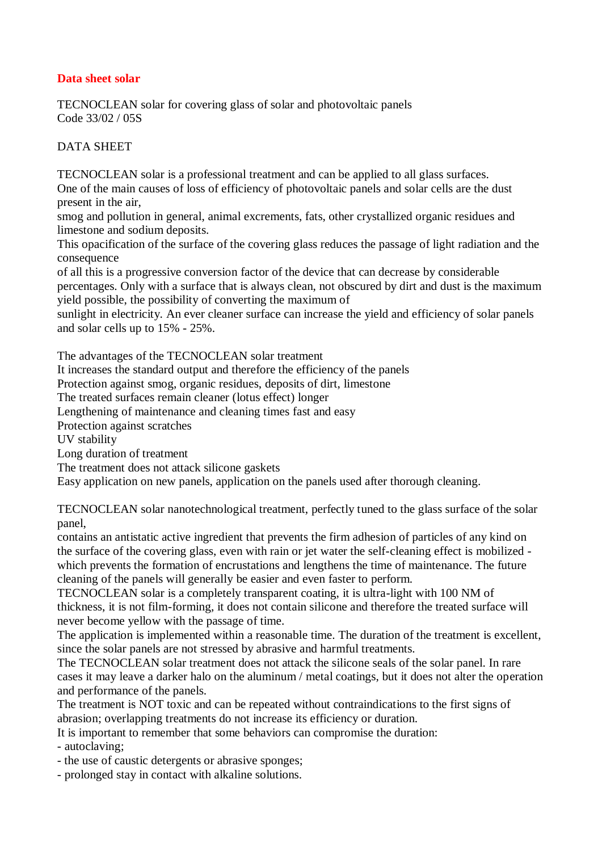## **Data sheet solar**

TECNOCLEAN solar for covering glass of solar and photovoltaic panels Code 33/02 / 05S

## DATA SHEET

TECNOCLEAN solar is a professional treatment and can be applied to all glass surfaces. One of the main causes of loss of efficiency of photovoltaic panels and solar cells are the dust present in the air,

smog and pollution in general, animal excrements, fats, other crystallized organic residues and limestone and sodium deposits.

This opacification of the surface of the covering glass reduces the passage of light radiation and the consequence

of all this is a progressive conversion factor of the device that can decrease by considerable percentages. Only with a surface that is always clean, not obscured by dirt and dust is the maximum yield possible, the possibility of converting the maximum of

sunlight in electricity. An ever cleaner surface can increase the yield and efficiency of solar panels and solar cells up to 15% - 25%.

The advantages of the TECNOCLEAN solar treatment

It increases the standard output and therefore the efficiency of the panels

Protection against smog, organic residues, deposits of dirt, limestone

The treated surfaces remain cleaner (lotus effect) longer

Lengthening of maintenance and cleaning times fast and easy

Protection against scratches

UV stability

Long duration of treatment

The treatment does not attack silicone gaskets

Easy application on new panels, application on the panels used after thorough cleaning.

TECNOCLEAN solar nanotechnological treatment, perfectly tuned to the glass surface of the solar panel,

contains an antistatic active ingredient that prevents the firm adhesion of particles of any kind on the surface of the covering glass, even with rain or jet water the self-cleaning effect is mobilized which prevents the formation of encrustations and lengthens the time of maintenance. The future cleaning of the panels will generally be easier and even faster to perform.

TECNOCLEAN solar is a completely transparent coating, it is ultra-light with 100 NM of thickness, it is not film-forming, it does not contain silicone and therefore the treated surface will never become yellow with the passage of time.

The application is implemented within a reasonable time. The duration of the treatment is excellent, since the solar panels are not stressed by abrasive and harmful treatments.

The TECNOCLEAN solar treatment does not attack the silicone seals of the solar panel. In rare cases it may leave a darker halo on the aluminum / metal coatings, but it does not alter the operation and performance of the panels.

The treatment is NOT toxic and can be repeated without contraindications to the first signs of abrasion; overlapping treatments do not increase its efficiency or duration.

It is important to remember that some behaviors can compromise the duration:

- autoclaving;

- the use of caustic detergents or abrasive sponges;

- prolonged stay in contact with alkaline solutions.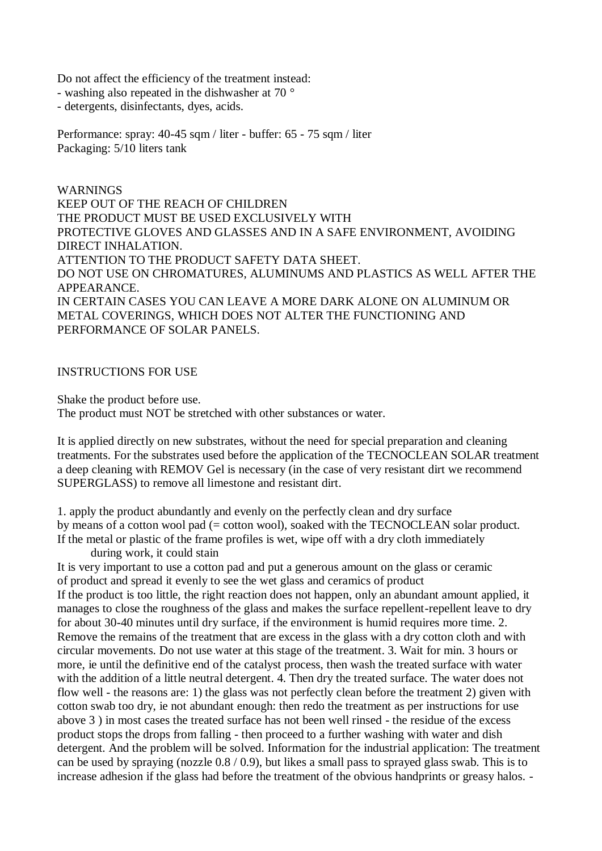Do not affect the efficiency of the treatment instead:

- washing also repeated in the dishwasher at 70 °

- detergents, disinfectants, dyes, acids.

Performance: spray: 40-45 sqm / liter - buffer: 65 - 75 sqm / liter Packaging: 5/10 liters tank

WARNINGS KEEP OUT OF THE REACH OF CHILDREN THE PRODUCT MUST BE USED EXCLUSIVELY WITH PROTECTIVE GLOVES AND GLASSES AND IN A SAFE ENVIRONMENT, AVOIDING DIRECT INHALATION. ATTENTION TO THE PRODUCT SAFETY DATA SHEET. DO NOT USE ON CHROMATURES, ALUMINUMS AND PLASTICS AS WELL AFTER THE APPEARANCE. IN CERTAIN CASES YOU CAN LEAVE A MORE DARK ALONE ON ALUMINUM OR METAL COVERINGS, WHICH DOES NOT ALTER THE FUNCTIONING AND PERFORMANCE OF SOLAR PANELS.

## INSTRUCTIONS FOR USE

Shake the product before use.

The product must NOT be stretched with other substances or water.

It is applied directly on new substrates, without the need for special preparation and cleaning treatments. For the substrates used before the application of the TECNOCLEAN SOLAR treatment a deep cleaning with REMOV Gel is necessary (in the case of very resistant dirt we recommend SUPERGLASS) to remove all limestone and resistant dirt.

1. apply the product abundantly and evenly on the perfectly clean and dry surface by means of a cotton wool pad (= cotton wool), soaked with the TECNOCLEAN solar product. If the metal or plastic of the frame profiles is wet, wipe off with a dry cloth immediately

during work, it could stain

It is very important to use a cotton pad and put a generous amount on the glass or ceramic of product and spread it evenly to see the wet glass and ceramics of product

If the product is too little, the right reaction does not happen, only an abundant amount applied, it manages to close the roughness of the glass and makes the surface repellent-repellent leave to dry for about 30-40 minutes until dry surface, if the environment is humid requires more time. 2. Remove the remains of the treatment that are excess in the glass with a dry cotton cloth and with circular movements. Do not use water at this stage of the treatment. 3. Wait for min. 3 hours or more, ie until the definitive end of the catalyst process, then wash the treated surface with water with the addition of a little neutral detergent. 4. Then dry the treated surface. The water does not flow well - the reasons are: 1) the glass was not perfectly clean before the treatment 2) given with cotton swab too dry, ie not abundant enough: then redo the treatment as per instructions for use above 3 ) in most cases the treated surface has not been well rinsed - the residue of the excess product stops the drops from falling - then proceed to a further washing with water and dish detergent. And the problem will be solved. Information for the industrial application: The treatment can be used by spraying (nozzle 0.8 / 0.9), but likes a small pass to sprayed glass swab. This is to increase adhesion if the glass had before the treatment of the obvious handprints or greasy halos. -